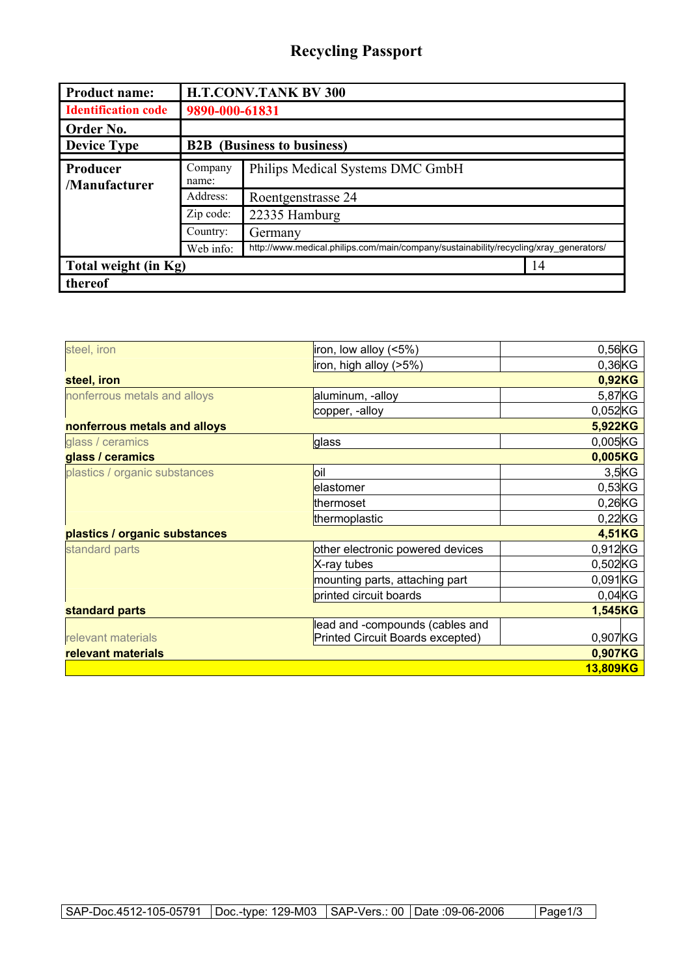## **Recycling Passport**

| <b>Product name:</b>       | <b>H.T.CONV.TANK BV 300</b>       |                                                                                       |    |  |
|----------------------------|-----------------------------------|---------------------------------------------------------------------------------------|----|--|
| <b>Identification code</b> | 9890-000-61831                    |                                                                                       |    |  |
| Order No.                  |                                   |                                                                                       |    |  |
| <b>Device Type</b>         | <b>B2B</b> (Business to business) |                                                                                       |    |  |
| Producer<br>/Manufacturer  | Company<br>name:                  | Philips Medical Systems DMC GmbH                                                      |    |  |
|                            | Address:                          | Roentgenstrasse 24                                                                    |    |  |
|                            | Zip code:                         | 22335 Hamburg                                                                         |    |  |
|                            | Country:                          | Germany                                                                               |    |  |
|                            | Web info:                         | http://www.medical.philips.com/main/company/sustainability/recycling/xray_generators/ |    |  |
| Total weight (in Kg)       |                                   |                                                                                       | 14 |  |
| thereof                    |                                   |                                                                                       |    |  |

| steel, iron                   | iron, low alloy (<5%)            | $0,56$ KG  |
|-------------------------------|----------------------------------|------------|
|                               | iron, high alloy (>5%)           | $0,36$ KG  |
| steel, iron                   |                                  | 0,92KG     |
| nonferrous metals and alloys  | aluminum, -alloy                 | 5,87KG     |
|                               | copper, -alloy                   | 0,052KG    |
| nonferrous metals and alloys  |                                  | 5,922KG    |
| glass / ceramics              | glass                            | $0,005$ KG |
| glass / ceramics              |                                  | 0,005KG    |
| plastics / organic substances | loil                             | 3,5KG      |
|                               | elastomer                        | $0,53K$ G  |
|                               | thermoset                        | $0,26$ KG  |
|                               | thermoplastic                    | $0,22$ KG  |
| plastics / organic substances |                                  | 4,51KG     |
| standard parts                | other electronic powered devices | 0,912KG    |
|                               | X-ray tubes                      | 0,502KG    |
|                               | mounting parts, attaching part   | 0,091KG    |
|                               | printed circuit boards           | $0,04$ KG  |
| standard parts                |                                  | 1,545KG    |
|                               | lead and -compounds (cables and  |            |
| relevant materials            | Printed Circuit Boards excepted) | 0,907KG    |
| relevant materials            |                                  | 0,907KG    |
|                               |                                  | 13,809KG   |
|                               |                                  |            |

SAP-Doc.4512-105-05791 | Doc.-type: 129-M03 | SAP-Vers.: 00 | Date :09-06-2006 | Page1/3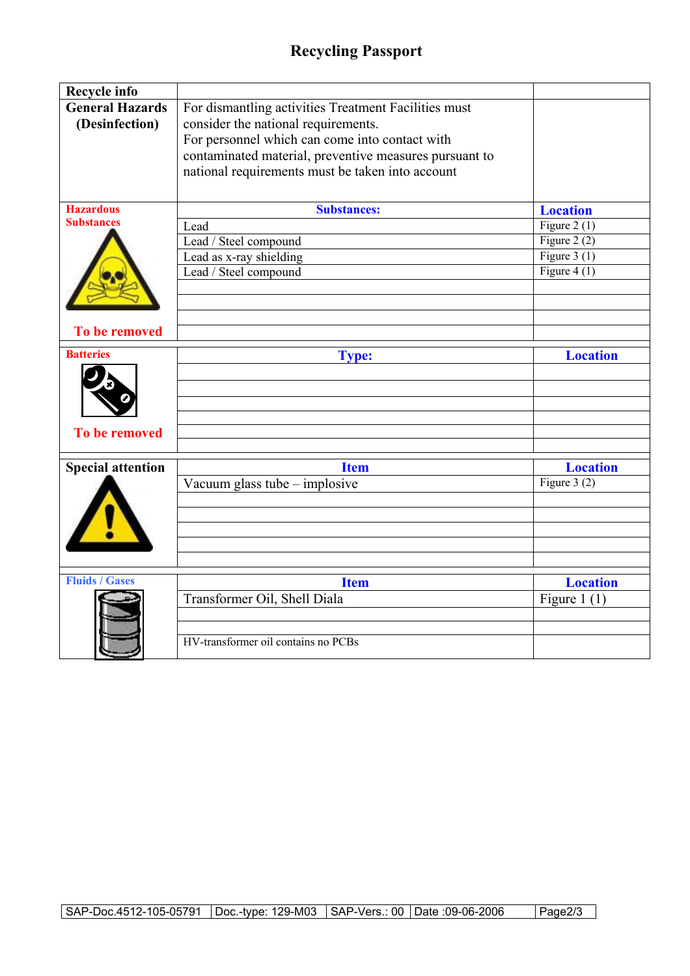## **Recycling Passport**

| Recycle info                             |                                                                                                                                                                                                                                                             |                 |
|------------------------------------------|-------------------------------------------------------------------------------------------------------------------------------------------------------------------------------------------------------------------------------------------------------------|-----------------|
| <b>General Hazards</b><br>(Desinfection) | For dismantling activities Treatment Facilities must<br>consider the national requirements.<br>For personnel which can come into contact with<br>contaminated material, preventive measures pursuant to<br>national requirements must be taken into account |                 |
| <b>Hazardous</b><br><b>Substances</b>    | <b>Substances:</b>                                                                                                                                                                                                                                          | <b>Location</b> |
|                                          | Lead                                                                                                                                                                                                                                                        | Figure 2 $(1)$  |
|                                          | Lead / Steel compound                                                                                                                                                                                                                                       | Figure 2 $(2)$  |
|                                          | Lead as x-ray shielding                                                                                                                                                                                                                                     | Figure $3(1)$   |
|                                          | Lead / Steel compound                                                                                                                                                                                                                                       | Figure 4 $(1)$  |
|                                          |                                                                                                                                                                                                                                                             |                 |
|                                          |                                                                                                                                                                                                                                                             |                 |
| To be removed                            |                                                                                                                                                                                                                                                             |                 |
| <b>Batteries</b>                         | <b>Type:</b>                                                                                                                                                                                                                                                | <b>Location</b> |
|                                          |                                                                                                                                                                                                                                                             |                 |
|                                          |                                                                                                                                                                                                                                                             |                 |
|                                          |                                                                                                                                                                                                                                                             |                 |
| <b>To be removed</b>                     |                                                                                                                                                                                                                                                             |                 |
| <b>Special attention</b>                 | <b>Item</b>                                                                                                                                                                                                                                                 | <b>Location</b> |
|                                          | Vacuum glass tube – implosive                                                                                                                                                                                                                               | Figure $3(2)$   |
|                                          |                                                                                                                                                                                                                                                             |                 |
|                                          |                                                                                                                                                                                                                                                             |                 |
|                                          |                                                                                                                                                                                                                                                             |                 |
|                                          |                                                                                                                                                                                                                                                             |                 |
| <b>Fluids / Gases</b>                    |                                                                                                                                                                                                                                                             |                 |
|                                          | <b>Item</b>                                                                                                                                                                                                                                                 | <b>Location</b> |
|                                          | Transformer Oil, Shell Diala                                                                                                                                                                                                                                | Figure $1(1)$   |
|                                          |                                                                                                                                                                                                                                                             |                 |
|                                          | HV-transformer oil contains no PCBs                                                                                                                                                                                                                         |                 |